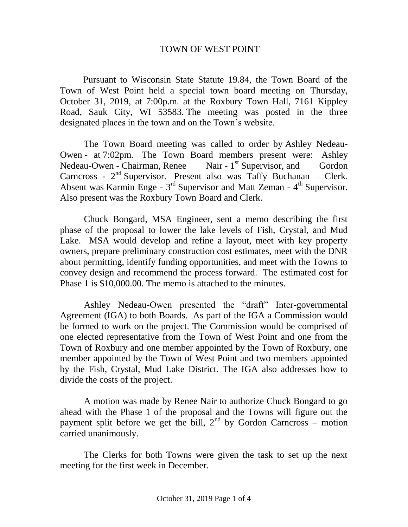## TOWN OF WEST POINT

 Pursuant to Wisconsin State Statute 19.84, the Town Board of the Town of West Point held a special town board meeting on Thursday, October 31, 2019, at 7:00p.m. at the Roxbury Town Hall, 7161 Kippley Road, Sauk City, WI 53583. The meeting was posted in the three designated places in the town and on the Town's website.

The Town Board meeting was called to order by Ashley Nedeau-Owen - at 7:02pm. The Town Board members present were: Ashley Nedeau-Owen - Chairman, Renee Nair -  $1<sup>st</sup>$  Supervisor, and Gordon Carncross -  $2<sup>nd</sup>$  Supervisor. Present also was Taffy Buchanan – Clerk. Absent was Karmin Enge -  $3<sup>rd</sup>$  Supervisor and Matt Zeman -  $4<sup>th</sup>$  Supervisor. Also present was the Roxbury Town Board and Clerk.

Chuck Bongard, MSA Engineer, sent a memo describing the first phase of the proposal to lower the lake levels of Fish, Crystal, and Mud Lake. MSA would develop and refine a layout, meet with key property owners, prepare preliminary construction cost estimates, meet with the DNR about permitting, identify funding opportunities, and meet with the Towns to convey design and recommend the process forward. The estimated cost for Phase 1 is \$10,000.00. The memo is attached to the minutes.

Ashley Nedeau-Owen presented the "draft" Inter-governmental Agreement (IGA) to both Boards. As part of the IGA a Commission would be formed to work on the project. The Commission would be comprised of one elected representative from the Town of West Point and one from the Town of Roxbury and one member appointed by the Town of Roxbury, one member appointed by the Town of West Point and two members appointed by the Fish, Crystal, Mud Lake District. The IGA also addresses how to divide the costs of the project.

A motion was made by Renee Nair to authorize Chuck Bongard to go ahead with the Phase 1 of the proposal and the Towns will figure out the payment split before we get the bill,  $2<sup>nd</sup>$  by Gordon Carncross – motion carried unanimously.

The Clerks for both Towns were given the task to set up the next meeting for the first week in December.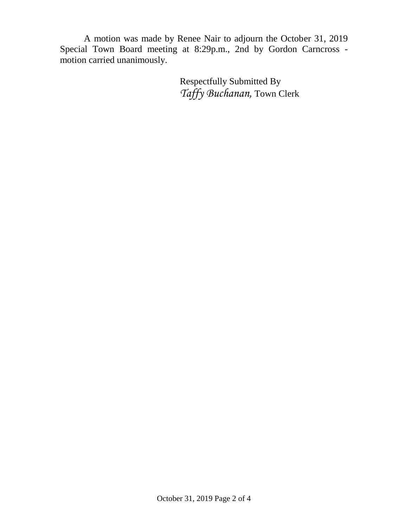A motion was made by Renee Nair to adjourn the October 31, 2019 Special Town Board meeting at 8:29p.m., 2nd by Gordon Carncross motion carried unanimously.

> Respectfully Submitted By *Taffy Buchanan,* Town Clerk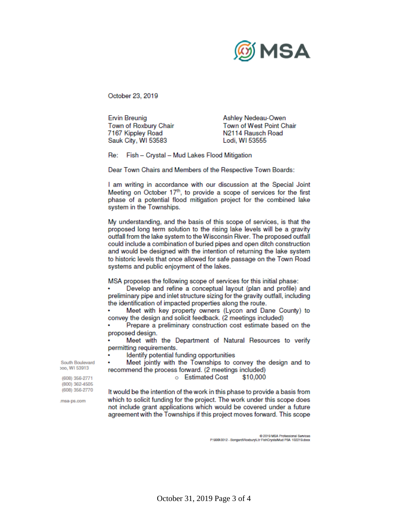

October 23, 2019

**Ervin Breunig** Town of Roxbury Chair 7167 Kippley Road Sauk City, WI 53583

Ashley Nedeau-Owen Town of West Point Chair N2114 Rausch Road Lodi, WI 53555

Fish - Crystal - Mud Lakes Flood Mitigation Re:

Dear Town Chairs and Members of the Respective Town Boards:

I am writing in accordance with our discussion at the Special Joint Meeting on October 17th, to provide a scope of services for the first phase of a potential flood mitigation project for the combined lake system in the Townships.

My understanding, and the basis of this scope of services, is that the proposed long term solution to the rising lake levels will be a gravity outfall from the lake system to the Wisconsin River. The proposed outfall could include a combination of buried pipes and open ditch construction and would be designed with the intention of returning the lake system to historic levels that once allowed for safe passage on the Town Road systems and public enjoyment of the lakes.

MSA proposes the following scope of services for this initial phase:

Develop and refine a conceptual layout (plan and profile) and preliminary pipe and inlet structure sizing for the gravity outfall, including the identification of impacted properties along the route.

Meet with key property owners (Lycon and Dane County) to convey the design and solicit feedback. (2 meetings included)

Prepare a preliminary construction cost estimate based on the proposed design.

Meet with the Department of Natural Resources to verify permitting requirements.

Identify potential funding opportunities

Meet jointly with the Townships to convey the design and to recommend the process forward. (2 meetings included)

## o Estimated Cost \$10,000

It would be the intention of the work in this phase to provide a basis from which to solicit funding for the project. The work under this scope does not include grant applications which would be covered under a future agreement with the Townships if this project moves forward. This scope

0 2019 MSA Professional Services<br>P:\999.0012 - Bongard/Roxburyl.tr FishCrystalMud PSA 102219.doox

South Boulevard boo, WI 53913

(608) 356-2771 (800) 362-4505 (608) 356-2770

.msa-ps.com